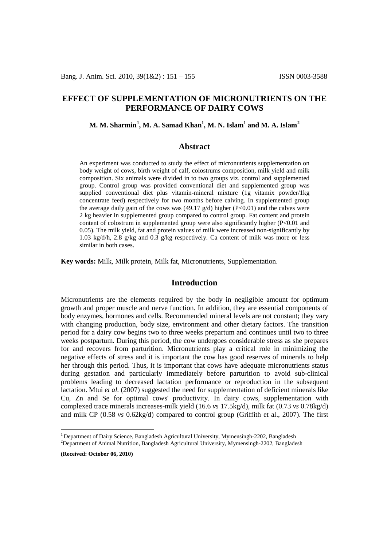# **EFFECT OF SUPPLEMENTATION OF MICRONUTRIENTS ON THE PERFORMANCE OF DAIRY COWS**

# **M. M. Sharmin[1](#page-0-0) , M. A. Samad Khan1 , M. N. Islam1 and M. A. Islam[2](#page-0-1)**

### **Abstract**

An experiment was conducted to study the effect of micronutrients supplementation on body weight of cows, birth weight of calf, colostrums composition, milk yield and milk composition. Six animals were divided in to two groups viz. control and supplemented group. Control group was provided conventional diet and supplemented group was supplied conventional diet plus vitamin-mineral mixture (1g vitamix powder/1kg concentrate feed) respectively for two months before calving. In supplemented group the average daily gain of the cows was  $(49.17 \text{ g/d})$  higher  $(P<0.01)$  and the calves were 2 kg heavier in supplemented group compared to control group. Fat content and protein content of colostrum in supplemented group were also significantly higher (P<0.01 and 0.05). The milk yield, fat and protein values of milk were increased non-significantly by 1.03 kg/d/h, 2.8 g/kg and 0.3 g/kg respectively. Ca content of milk was more or less similar in both cases.

**Key words:** Milk, Milk protein, Milk fat, Micronutrients, Supplementation.

### **Introduction**

Micronutrients are the elements required by the body in negligible amount for optimum growth and proper muscle and nerve function. In addition, they are essential components of body enzymes, hormones and cells. Recommended mineral levels are not constant; they vary with changing production, body size, environment and other dietary factors. The transition period for a dairy cow begins two to three weeks prepartum and continues until two to three weeks postpartum. During this period, the cow undergoes considerable stress as she prepares for and recovers from parturition. Micronutrients play a critical role in minimizing the negative effects of stress and it is important the cow has good reserves of minerals to help her through this period. Thus, it is important that cows have adequate micronutrients status during gestation and particularly immediately before parturition to avoid sub-clinical problems leading to decreased lactation performance or reproduction in the subsequent lactation. Mtui *et al.* (2007) suggested the need for supplementation of deficient minerals like Cu, Zn and Se for optimal cows' productivity. In dairy cows, supplementation with complexed trace minerals increases-milk yield (16.6 *vs* 17.5kg/d), milk fat (0.73 *vs* 0.78kg/d) and milk CP (0.58 *vs* 0.62kg/d) compared to control group (Griffith et al., 2007). The first

**(Received: October 06, 2010)**

<span id="page-0-1"></span><span id="page-0-0"></span><sup>&</sup>lt;sup>1</sup> Department of Dairy Science, Bangladesh Agricultural University, Mymensingh-2202, Bangladesh <sup>2</sup>Department of Animal Nutrition, Bangladesh Agricultural University, Mymensingh-2202, Bangladesh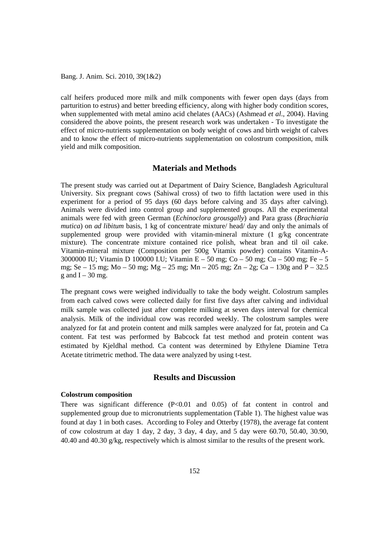Bang. J. Anim. Sci. 2010, 39(1&2)

calf heifers produced more milk and milk components with fewer open days (days from parturition to estrus) and better breeding efficiency, along with higher body condition scores, when supplemented with metal amino acid chelates (AACs) (Ashmead *et al*., 2004). Having considered the above points, the present research work was undertaken - To investigate the effect of micro-nutrients supplementation on body weight of cows and birth weight of calves and to know the effect of micro-nutrients supplementation on colostrum composition, milk yield and milk composition.

### **Materials and Methods**

The present study was carried out at Department of Dairy Science, Bangladesh Agricultural University. Six pregnant cows (Sahiwal cross) of two to fifth lactation were used in this experiment for a period of 95 days (60 days before calving and 35 days after calving). Animals were divided into control group and supplemented groups. All the experimental animals were fed with green German (*Echinoclora grousgally*) and Para grass (*Brachiaria mutica*) on *ad libitum* basis, 1 kg of concentrate mixture/ head/ day and only the animals of supplemented group were provided with vitamin-mineral mixture (1 g/kg concentrate mixture). The concentrate mixture contained rice polish, wheat bran and til oil cake. Vitamin-mineral mixture (Composition per 500g Vitamix powder) contains Vitamin-A-3000000 IU; Vitamin D 100000 I.U; Vitamin E – 50 mg; Co – 50 mg; Cu – 500 mg; Fe – 5 mg; Se – 15 mg; Mo – 50 mg; Mg – 25 mg; Mn – 205 mg; Zn – 2g; Ca – 130g and P – 32.5 g and  $I - 30$  mg.

The pregnant cows were weighed individually to take the body weight. Colostrum samples from each calved cows were collected daily for first five days after calving and individual milk sample was collected just after complete milking at seven days interval for chemical analysis. Milk of the individual cow was recorded weekly. The colostrum samples were analyzed for fat and protein content and milk samples were analyzed for fat, protein and Ca content. Fat test was performed by Babcock fat test method and protein content was estimated by Kjeldhal method. Ca content was determined by Ethylene Diamine Tetra Acetate titrimetric method. The data were analyzed by using t-test.

# **Results and Discussion**

#### **Colostrum composition**

There was significant difference  $(P<0.01$  and  $0.05)$  of fat content in control and supplemented group due to micronutrients supplementation (Table 1). The highest value was found at day 1 in both cases. According to Foley and Otterby (1978), the average fat content of cow colostrum at day 1 day, 2 day, 3 day, 4 day, and 5 day were 60.70, 50.40, 30.90, 40.40 and 40.30 g/kg, respectively which is almost similar to the results of the present work.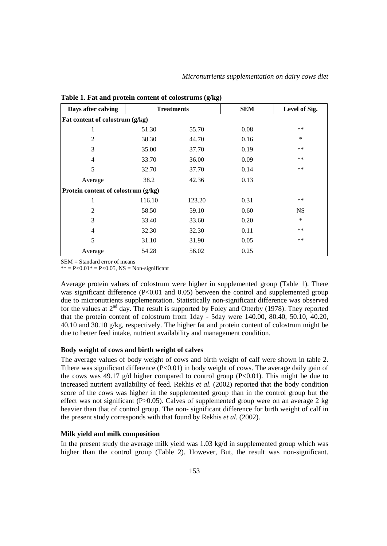| Days after calving                  | <b>Treatments</b> |        | <b>SEM</b> | Level of Sig. |  |  |  |  |
|-------------------------------------|-------------------|--------|------------|---------------|--|--|--|--|
| Fat content of colostrum (g/kg)     |                   |        |            |               |  |  |  |  |
| 1                                   | 51.30             | 55.70  | 0.08       | **            |  |  |  |  |
| 2                                   | 38.30             | 44.70  | 0.16       | $\ast$        |  |  |  |  |
| 3                                   | 35.00             | 37.70  | 0.19       | $***$         |  |  |  |  |
| 4                                   | 33.70             | 36.00  | 0.09       | $***$         |  |  |  |  |
| 5                                   | 32.70             | 37.70  | 0.14       | $***$         |  |  |  |  |
| Average                             | 38.2              | 42.36  | 0.13       |               |  |  |  |  |
| Protein content of colostrum (g/kg) |                   |        |            |               |  |  |  |  |
| 1                                   | 116.10            | 123.20 | 0.31       | **            |  |  |  |  |
| 2                                   | 58.50             | 59.10  | 0.60       | <b>NS</b>     |  |  |  |  |
| 3                                   | 33.40             | 33.60  | 0.20       | $\ast$        |  |  |  |  |
| 4                                   | 32.30             | 32.30  | 0.11       | $***$         |  |  |  |  |
| 5                                   | 31.10             | 31.90  | 0.05       | **            |  |  |  |  |
| Average                             | 54.28             | 56.02  | 0.25       |               |  |  |  |  |

**Table 1. Fat and protein content of colostrums (g/kg)**

SEM = Standard error of means

 $* = P < 0.01* = P < 0.05$ , NS = Non-significant

Average protein values of colostrum were higher in supplemented group (Table 1). There was significant difference  $(P<0.01$  and 0.05) between the control and supplemented group due to micronutrients supplementation. Statistically non-significant difference was observed for the values at  $2<sup>nd</sup>$  day. The result is supported by Foley and Otterby (1978). They reported that the protein content of colostrum from 1day - 5day were 140.00, 80.40, 50.10, 40.20, 40.10 and 30.10 g/kg, respectively. The higher fat and protein content of colostrum might be due to better feed intake, nutrient availability and management condition.

#### **Body weight of cows and birth weight of calves**

The average values of body weight of cows and birth weight of calf were shown in table 2. There was significant difference  $(P<0.01)$  in body weight of cows. The average daily gain of the cows was 49.17  $g/d$  higher compared to control group (P<0.01). This might be due to increased nutrient availability of feed. Rekhis *et al.* (2002) reported that the body condition score of the cows was higher in the supplemented group than in the control group but the effect was not significant (P>0.05). Calves of supplemented group were on an average 2 kg heavier than that of control group. The non- significant difference for birth weight of calf in the present study corresponds with that found by Rekhis *et al.* (2002).

### **Milk yield and milk composition**

In the present study the average milk yield was 1.03 kg/d in supplemented group which was higher than the control group (Table 2). However, But, the result was non-significant.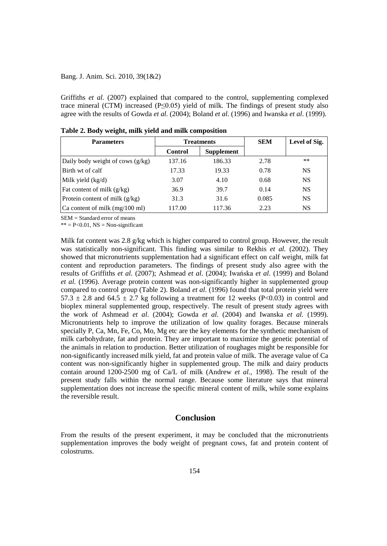### Bang. J. Anim. Sci. 2010, 39(1&2)

Griffiths *et al.* (2007) explained that compared to the control, supplementing complexed trace mineral (CTM) increased (P≤0.05) yield of milk. The findings of present study also agree with the results of Gowda *et al*. (2004); Boland *et al.* (1996) and Iwanska *et al*. (1999).

| <b>Parameters</b>                 | <b>Treatments</b> |                   | <b>SEM</b> | Level of Sig. |
|-----------------------------------|-------------------|-------------------|------------|---------------|
|                                   | <b>Control</b>    | <b>Supplement</b> |            |               |
| Daily body weight of cows (g/kg)  | 137.16            | 186.33            | 2.78       | $***$         |
| Birth wt of calf                  | 17.33             | 19.33             | 0.78       | <b>NS</b>     |
| Milk yield $(kg/d)$               | 3.07              | 4.10              | 0.68       | <b>NS</b>     |
| Fat content of milk $(g/kg)$      | 36.9              | 39.7              | 0.14       | <b>NS</b>     |
| Protein content of milk $(g/kg)$  | 31.3              | 31.6              | 0.085      | <b>NS</b>     |
| $ Ca$ content of milk (mg/100 ml) | 117.00            | 117.36            | 2.23       | <b>NS</b>     |

**Table 2. Body weight, milk yield and milk composition** 

SEM = Standard error of means

 $** = P < 0.01$ , NS = Non-significant

Milk fat content was 2.8 g/kg which is higher compared to control group. However, the result was statistically non-significant. This finding was similar to Rekhis *et al.* (2002). They showed that micronutrients supplementation had a significant effect on calf weight, milk fat content and reproduction parameters. The findings of present study also agree with the results of Griffiths *et al.* (2007); Ashmead *et al*. (2004); Iwańska *et al.* (1999) and Boland *et al.* (1996). Average protein content was non-significantly higher in supplemented group compared to control group (Table 2). Boland *et al.* (1996) found that total protein yield were 57.3  $\pm$  2.8 and 64.5  $\pm$  2.7 kg following a treatment for 12 weeks (P<0.03) in control and bioplex mineral supplemented group, respectively. The result of present study agrees with the work of Ashmead *et al*. (2004); Gowda *et al*. (2004) and Iwanska *et al.* (1999). Micronutrients help to improve the utilization of low quality forages. Because minerals specially P, Ca, Mn, Fe, Co, Mo, Mg etc are the key elements for the synthetic mechanism of milk carbohydrate, fat and protein. They are important to maximize the genetic potential of the animals in relation to production. Better utilization of roughages might be responsible for non-significantly increased milk yield, fat and protein value of milk. The average value of Ca content was non-significantly higher in supplemented group. The milk and dairy products contain around 1200-2500 mg of Ca/L of milk (Andrew *et al.,* 1998). The result of the present study falls within the normal range. Because some literature says that mineral supplementation does not increase the specific mineral content of milk, while some explains the reversible result.

### **Conclusion**

From the results of the present experiment, it may be concluded that the micronutrients supplementation improves the body weight of pregnant cows, fat and protein content of colostrums.